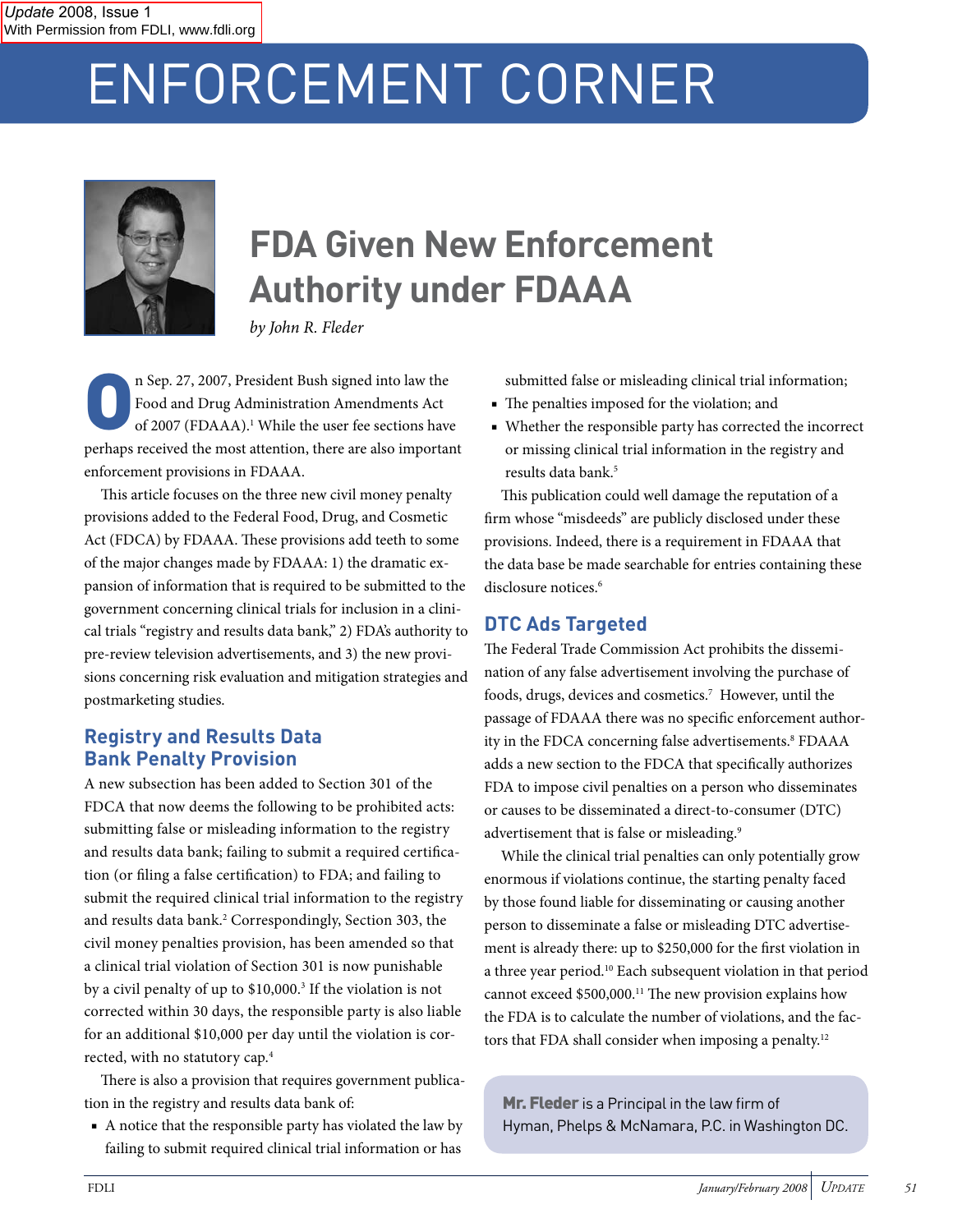# ENFORCEMENT CORNER



## **FDA Given New Enforcement Authority under FDAAA**

*by John R. Fleder*

n Sep. 27, 2007, President Bush signed into law the Food and Drug Administration Amendments Act of 2007 (FDAAA).<sup>1</sup> While the user fee sections have Food and Drug Administration Amendments Act of 2007 (FDAAA).<sup>1</sup> While the user fee sections have perhaps received the most attention, there are also important enforcement provisions in FDAAA.

This article focuses on the three new civil money penalty provisions added to the Federal Food, Drug, and Cosmetic Act (FDCA) by FDAAA. These provisions add teeth to some of the major changes made by FDAAA: 1) the dramatic expansion of information that is required to be submitted to the government concerning clinical trials for inclusion in a clinical trials "registry and results data bank," 2) FDA's authority to pre-review television advertisements, and 3) the new provisions concerning risk evaluation and mitigation strategies and postmarketing studies.

#### **Registry and Results Data Bank Penalty Provision**

A new subsection has been added to Section 301 of the FDCA that now deems the following to be prohibited acts: submitting false or misleading information to the registry and results data bank; failing to submit a required certification (or filing a false certification) to FDA; and failing to submit the required clinical trial information to the registry and results data bank.<sup>2</sup> Correspondingly, Section 303, the civil money penalties provision, has been amended so that a clinical trial violation of Section 301 is now punishable by a civil penalty of up to \$10,000.<sup>3</sup> If the violation is not corrected within 30 days, the responsible party is also liable for an additional \$10,000 per day until the violation is corrected, with no statutory cap.4

There is also a provision that requires government publication in the registry and results data bank of:

■ A notice that the responsible party has violated the law by failing to submit required clinical trial information or has

submitted false or misleading clinical trial information;

- The penalties imposed for the violation; and
- Whether the responsible party has corrected the incorrect or missing clinical trial information in the registry and results data bank.5

This publication could well damage the reputation of a firm whose "misdeeds" are publicly disclosed under these provisions. Indeed, there is a requirement in FDAAA that the data base be made searchable for entries containing these disclosure notices.<sup>6</sup>

### **DTC Ads Targeted**

The Federal Trade Commission Act prohibits the dissemination of any false advertisement involving the purchase of foods, drugs, devices and cosmetics.<sup>7</sup> However, until the passage of FDAAA there was no specific enforcement authority in the FDCA concerning false advertisements.<sup>8</sup> FDAAA adds a new section to the FDCA that specifically authorizes FDA to impose civil penalties on a person who disseminates or causes to be disseminated a direct-to-consumer (DTC) advertisement that is false or misleading.9

While the clinical trial penalties can only potentially grow enormous if violations continue, the starting penalty faced by those found liable for disseminating or causing another person to disseminate a false or misleading DTC advertisement is already there: up to \$250,000 for the first violation in a three year period.10 Each subsequent violation in that period cannot exceed \$500,000.11 The new provision explains how the FDA is to calculate the number of violations, and the factors that FDA shall consider when imposing a penalty.<sup>12</sup>

Mr. Fleder is a Principal in the law firm of Hyman, Phelps & McNamara, P.C. in Washington DC.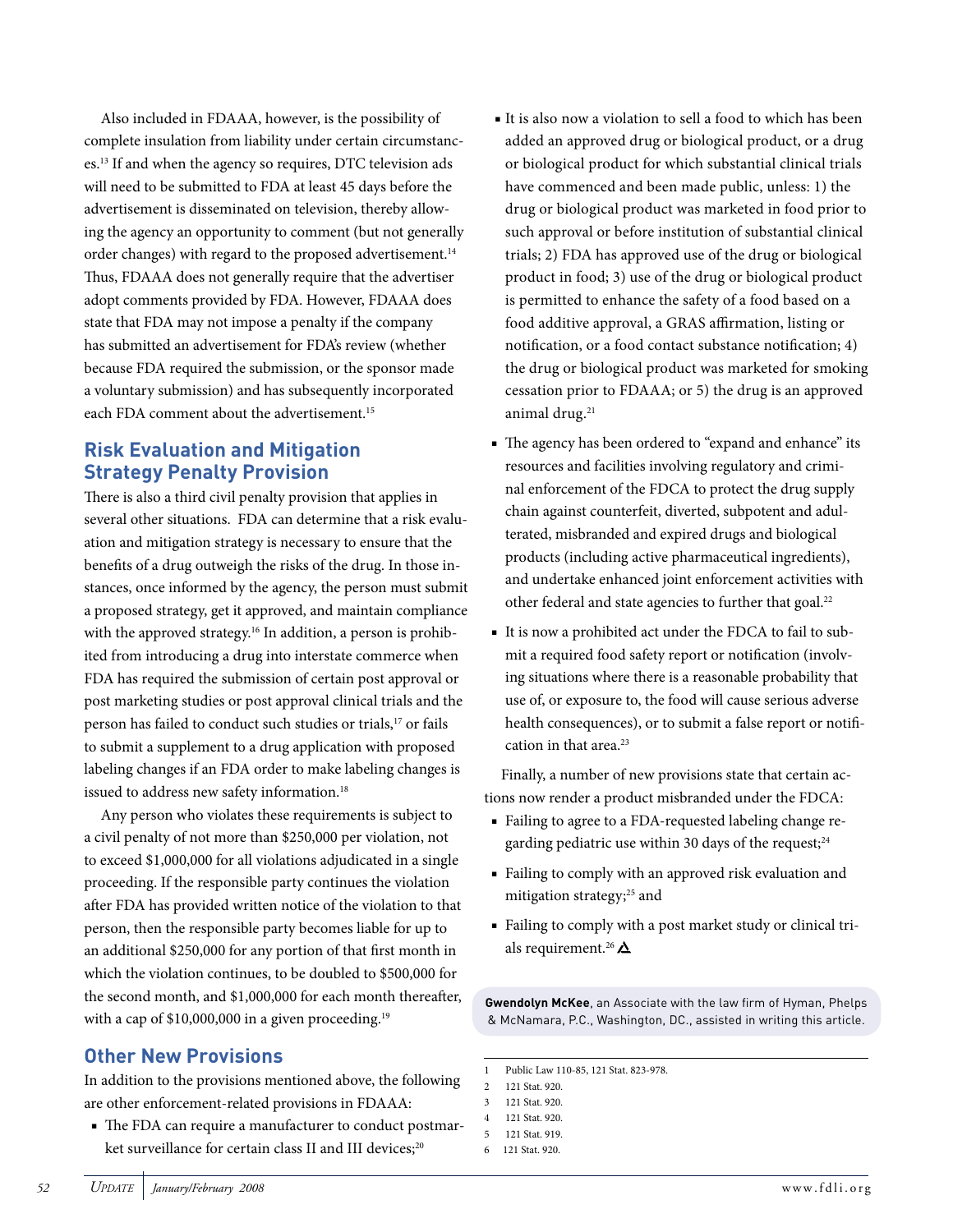Also included in FDAAA, however, is the possibility of complete insulation from liability under certain circumstances.13 If and when the agency so requires, DTC television ads will need to be submitted to FDA at least 45 days before the advertisement is disseminated on television, thereby allowing the agency an opportunity to comment (but not generally order changes) with regard to the proposed advertisement.<sup>14</sup> Thus, FDAAA does not generally require that the advertiser adopt comments provided by FDA. However, FDAAA does state that FDA may not impose a penalty if the company has submitted an advertisement for FDA's review (whether because FDA required the submission, or the sponsor made a voluntary submission) and has subsequently incorporated each FDA comment about the advertisement.<sup>15</sup>

#### **Risk Evaluation and Mitigation Strategy Penalty Provision**

There is also a third civil penalty provision that applies in several other situations. FDA can determine that a risk evaluation and mitigation strategy is necessary to ensure that the benefits of a drug outweigh the risks of the drug. In those instances, once informed by the agency, the person must submit a proposed strategy, get it approved, and maintain compliance with the approved strategy.<sup>16</sup> In addition, a person is prohibited from introducing a drug into interstate commerce when FDA has required the submission of certain post approval or post marketing studies or post approval clinical trials and the person has failed to conduct such studies or trials,17 or fails to submit a supplement to a drug application with proposed labeling changes if an FDA order to make labeling changes is issued to address new safety information.<sup>18</sup>

Any person who violates these requirements is subject to a civil penalty of not more than \$250,000 per violation, not to exceed \$1,000,000 for all violations adjudicated in a single proceeding. If the responsible party continues the violation after FDA has provided written notice of the violation to that person, then the responsible party becomes liable for up to an additional \$250,000 for any portion of that first month in which the violation continues, to be doubled to \$500,000 for the second month, and \$1,000,000 for each month thereafter, with a cap of \$10,000,000 in a given proceeding.<sup>19</sup>

#### **Other New Provisions**

In addition to the provisions mentioned above, the following are other enforcement-related provisions in FDAAA:

■ The FDA can require a manufacturer to conduct postmarket surveillance for certain class II and III devices;<sup>20</sup>

- It is also now a violation to sell a food to which has been added an approved drug or biological product, or a drug or biological product for which substantial clinical trials have commenced and been made public, unless: 1) the drug or biological product was marketed in food prior to such approval or before institution of substantial clinical trials; 2) FDA has approved use of the drug or biological product in food; 3) use of the drug or biological product is permitted to enhance the safety of a food based on a food additive approval, a GRAS affirmation, listing or notification, or a food contact substance notification; 4) the drug or biological product was marketed for smoking cessation prior to FDAAA; or 5) the drug is an approved animal drug.<sup>21</sup>
- The agency has been ordered to "expand and enhance" its resources and facilities involving regulatory and criminal enforcement of the FDCA to protect the drug supply chain against counterfeit, diverted, subpotent and adulterated, misbranded and expired drugs and biological products (including active pharmaceutical ingredients), and undertake enhanced joint enforcement activities with other federal and state agencies to further that goal.<sup>22</sup>
- It is now a prohibited act under the FDCA to fail to submit a required food safety report or notification (involving situations where there is a reasonable probability that use of, or exposure to, the food will cause serious adverse health consequences), or to submit a false report or notification in that area.<sup>23</sup>

Finally, a number of new provisions state that certain actions now render a product misbranded under the FDCA:

- Failing to agree to a FDA-requested labeling change regarding pediatric use within 30 days of the request;<sup>24</sup>
- Failing to comply with an approved risk evaluation and mitigation strategy;<sup>25</sup> and
- Failing to comply with a post market study or clinical trials requirement.<sup>26</sup>  $\Delta$

**Gwendolyn McKee**, an Associate with the law firm of Hyman, Phelps & McNamara, P.C., Washington, DC., assisted in writing this article.

<sup>1</sup> Public Law 110-85, 121 Stat. 823-978.

<sup>2 121</sup> Stat. 920.

<sup>3 121</sup> Stat. 920.

<sup>4 121</sup> Stat. 920. 5 121 Stat. 919.

<sup>6</sup> 121 Stat. 920.